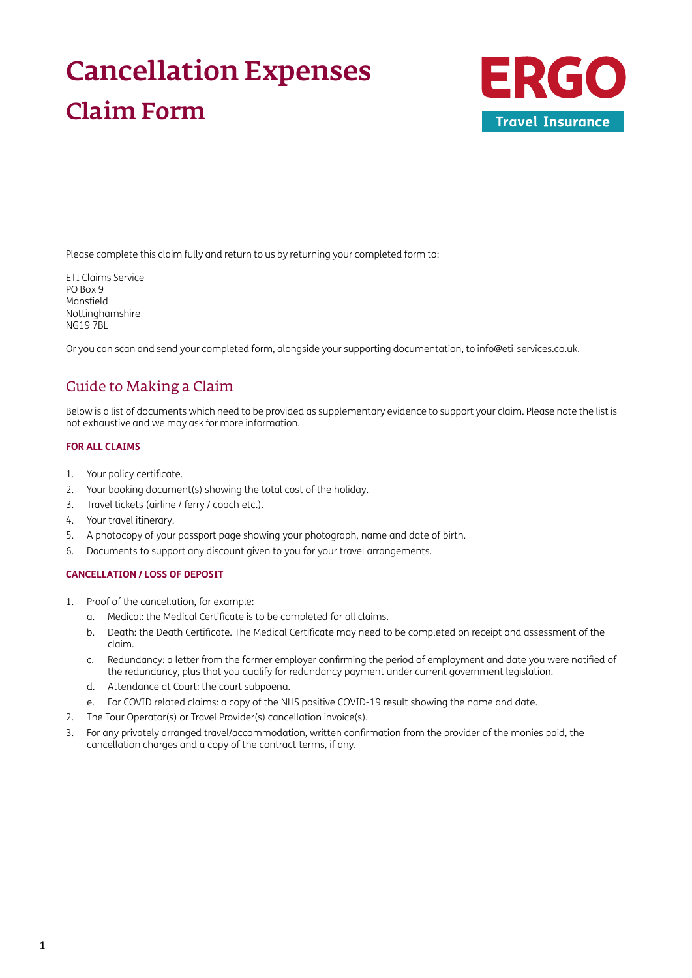# Cancellation Expenses Claim Form



Please complete this claim fully and return to us by returning your completed form to:

ETI Claims Service PO Box 9 Mansfield Nottinghamshire NG19 7BL

Or you can scan and send your completed form, alongside your supporting documentation, to [info@eti-services.co.uk.](mailto:info%40eti-services.co.uk?subject=)

### Guide to Making a Claim

Below is a list of documents which need to be provided as supplementary evidence to support your claim. Please note the list is not exhaustive and we may ask for more information.

#### **FOR ALL CLAIMS**

- 1. Your policy certificate.
- 2. Your booking document(s) showing the total cost of the holiday.
- 3. Travel tickets (airline / ferry / coach etc.).
- 4. Your travel itinerary.
- 5. A photocopy of your passport page showing your photograph, name and date of birth.
- 6. Documents to support any discount given to you for your travel arrangements.

#### **CANCELLATION / LOSS OF DEPOSIT**

- 1. Proof of the cancellation, for example:
	- a. Medical: the Medical Certificate is to be completed for all claims.
	- b. Death: the Death Certificate. The Medical Certificate may need to be completed on receipt and assessment of the claim.
	- c. Redundancy: a letter from the former employer confirming the period of employment and date you were notified of the redundancy, plus that you qualify for redundancy payment under current government legislation.
	- d. Attendance at Court: the court subpoena.
	- e. For COVID related claims: a copy of the NHS positive COVID-19 result showing the name and date.
- 2. The Tour Operator(s) or Travel Provider(s) cancellation invoice(s).
- 3. For any privately arranged travel/accommodation, written confirmation from the provider of the monies paid, the cancellation charges and a copy of the contract terms, if any.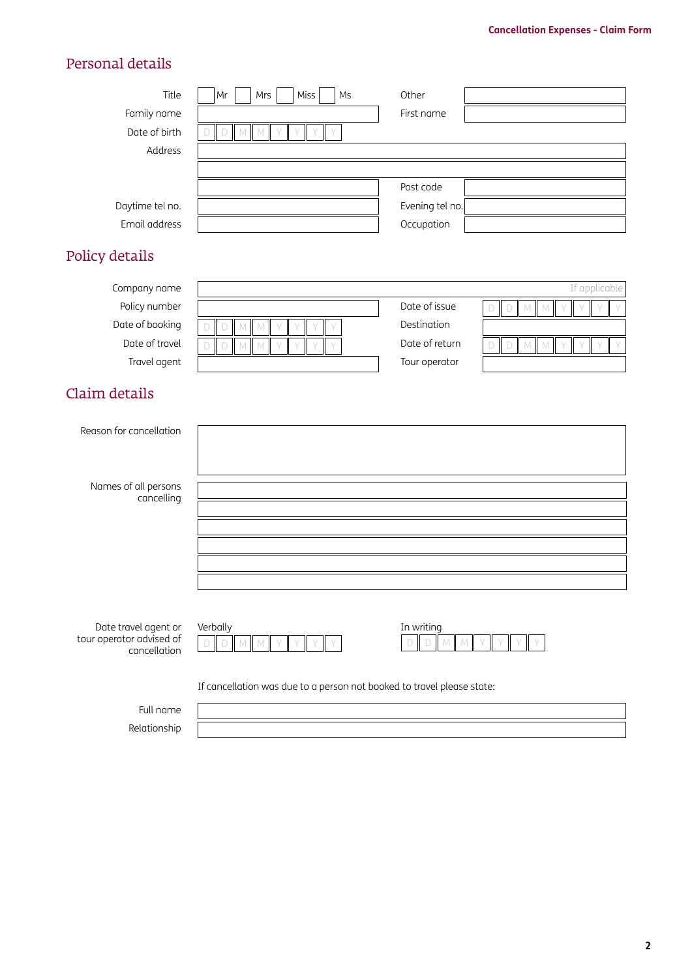## Personal details

| Title<br>Family name<br>Date of birth<br>Address                                   | Miss<br>Ms<br>Mrs<br>Mr<br>${\mathbb M}$<br>${\mathbb N}$<br>D                                         | Other<br>First name                                                                                                                |
|------------------------------------------------------------------------------------|--------------------------------------------------------------------------------------------------------|------------------------------------------------------------------------------------------------------------------------------------|
| Daytime tel no.<br>Email address                                                   |                                                                                                        | Post code<br>Evening tel no.<br>Occupation                                                                                         |
| Policy details                                                                     |                                                                                                        |                                                                                                                                    |
| Company name<br>Policy number<br>Date of booking<br>Date of travel<br>Travel agent | ${\mathbb M}$<br>$\Box$<br>${\mathbb M}$<br>Y<br>D<br>$\mathbb M$<br>${\mathbb M}$<br>D<br>$\vee$<br>D | If applicable<br>Date of issue<br>$D$ M<br>$\Box$<br>M<br>Destination<br>Date of return<br>D<br>$\mathbb{M}$<br>D<br>Tour operator |
| Claim details                                                                      |                                                                                                        |                                                                                                                                    |
| Reason for cancellation                                                            |                                                                                                        |                                                                                                                                    |
| Names of all persons<br>cancelling                                                 |                                                                                                        |                                                                                                                                    |

| Date travel agent or     | Verb |
|--------------------------|------|
| tour operator advised of |      |

cancellation

| Date travel agent or | Verballv |                    |  |  |  | In writing |  |
|----------------------|----------|--------------------|--|--|--|------------|--|
| operator advised of  |          | $)$ MM $\parallel$ |  |  |  |            |  |
| cancellation         |          |                    |  |  |  |            |  |

| In writing |  |  |  |  |  |  |  |  |
|------------|--|--|--|--|--|--|--|--|
|            |  |  |  |  |  |  |  |  |

If cancellation was due to a person not booked to travel please state:

Full name

Relationship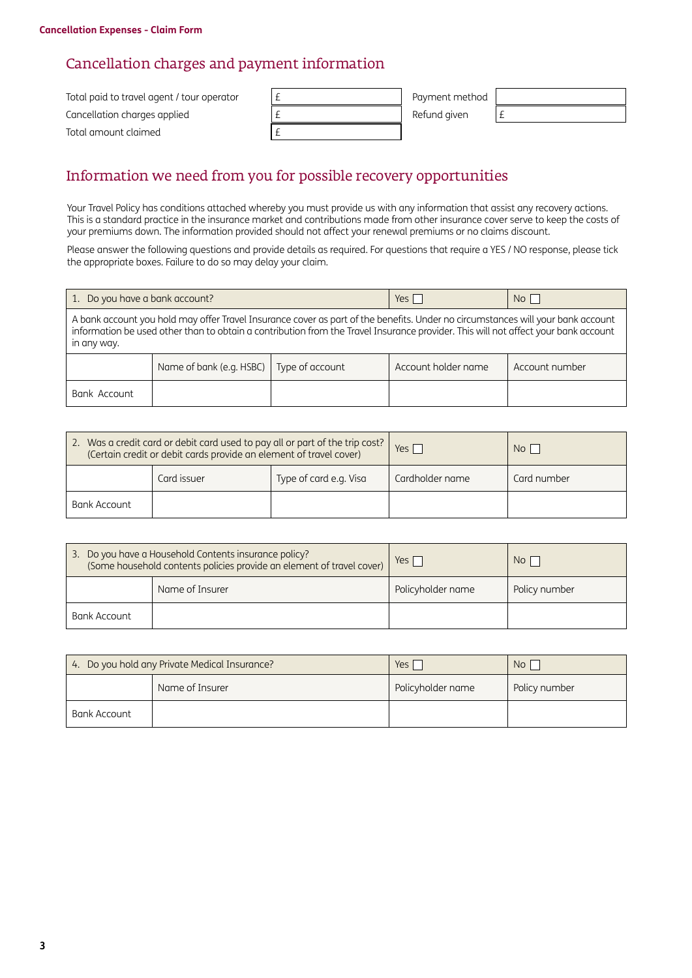### Cancellation charges and payment information

| Total paid to travel agent / tour operator | Payment method |  |
|--------------------------------------------|----------------|--|
| Cancellation charges applied               | Refund given   |  |
| Total amount claimed                       |                |  |

### Information we need from you for possible recovery opportunities

Your Travel Policy has conditions attached whereby you must provide us with any information that assist any recovery actions. This is a standard practice in the insurance market and contributions made from other insurance cover serve to keep the costs of your premiums down. The information provided should not affect your renewal premiums or no claims discount.

Please answer the following questions and provide details as required. For questions that require a YES / NO response, please tick the appropriate boxes. Failure to do so may delay your claim.

| 1. Do you have a bank account?                                                                                                                                                                                                                                                       |                          | Yes             | No <sub>1</sub>     |                |  |  |  |
|--------------------------------------------------------------------------------------------------------------------------------------------------------------------------------------------------------------------------------------------------------------------------------------|--------------------------|-----------------|---------------------|----------------|--|--|--|
| A bank account you hold may offer Travel Insurance cover as part of the benefits. Under no circumstances will your bank account<br>information be used other than to obtain a contribution from the Travel Insurance provider. This will not affect your bank account<br>in any way. |                          |                 |                     |                |  |  |  |
|                                                                                                                                                                                                                                                                                      | Name of bank (e.g. HSBC) | Type of account | Account holder name | Account number |  |  |  |
| Bank Account                                                                                                                                                                                                                                                                         |                          |                 |                     |                |  |  |  |

| 2. Was a credit card or debit card used to pay all or part of the trip cost?<br>(Certain credit or debit cards provide an element of travel cover) |             |                        | Yes I           | N <sub>O</sub> |
|----------------------------------------------------------------------------------------------------------------------------------------------------|-------------|------------------------|-----------------|----------------|
|                                                                                                                                                    | Card issuer | Type of card e.g. Visa | Cardholder name | Card number    |
| Bank Account                                                                                                                                       |             |                        |                 |                |

|              | 3. Do you have a Household Contents insurance policy?<br>(Some household contents policies provide an element of travel cover) | Yes $\Gamma$      | No l          |
|--------------|--------------------------------------------------------------------------------------------------------------------------------|-------------------|---------------|
|              | Name of Insurer                                                                                                                | Policyholder name | Policy number |
| Bank Account |                                                                                                                                |                   |               |

|              | 4. Do you hold any Private Medical Insurance? | Yes i             | No            |
|--------------|-----------------------------------------------|-------------------|---------------|
|              | Name of Insurer                               | Policyholder name | Policy number |
| Bank Account |                                               |                   |               |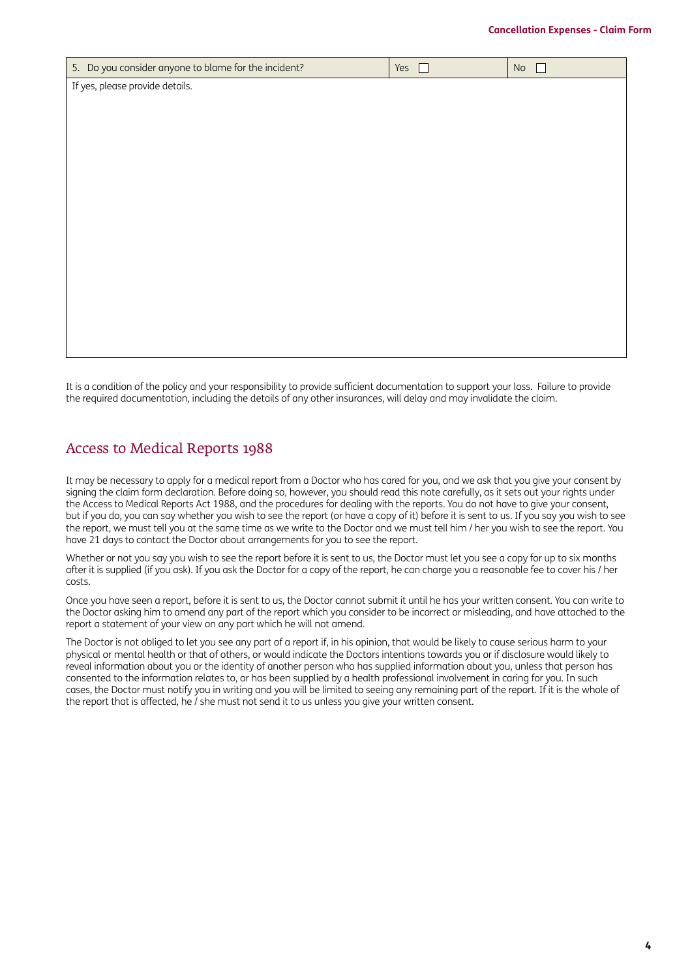| 5. Do you consider anyone to blame for the incident? | Yes | No |  |  |  |  |  |
|------------------------------------------------------|-----|----|--|--|--|--|--|
| If yes, please provide details.                      |     |    |  |  |  |  |  |
|                                                      |     |    |  |  |  |  |  |
|                                                      |     |    |  |  |  |  |  |
|                                                      |     |    |  |  |  |  |  |
|                                                      |     |    |  |  |  |  |  |
|                                                      |     |    |  |  |  |  |  |
|                                                      |     |    |  |  |  |  |  |
|                                                      |     |    |  |  |  |  |  |
|                                                      |     |    |  |  |  |  |  |
|                                                      |     |    |  |  |  |  |  |
|                                                      |     |    |  |  |  |  |  |
|                                                      |     |    |  |  |  |  |  |
|                                                      |     |    |  |  |  |  |  |
|                                                      |     |    |  |  |  |  |  |

It is a condition of the policy and your responsibility to provide sufficient documentation to support your loss. Failure to provide the required documentation, including the details of any other insurances, will delay and may invalidate the claim.

### Access to Medical Reports 1988

It may be necessary to apply for a medical report from a Doctor who has cared for you, and we ask that you give your consent by signing the claim form declaration. Before doing so, however, you should read this note carefully, as it sets out your rights under the Access to Medical Reports Act 1988, and the procedures for dealing with the reports. You do not have to give your consent, but if you do, you can say whether you wish to see the report (or have a copy of it) before it is sent to us. If you say you wish to see the report, we must tell you at the same time as we write to the Doctor and we must tell him / her you wish to see the report. You have 21 days to contact the Doctor about arrangements for you to see the report.

Whether or not you say you wish to see the report before it is sent to us, the Doctor must let you see a copy for up to six months after it is supplied (if you ask). If you ask the Doctor for a copy of the report, he can charge you a reasonable fee to cover his / her costs.

Once you have seen a report, before it is sent to us, the Doctor cannot submit it until he has your written consent. You can write to the Doctor asking him to amend any part of the report which you consider to be incorrect or misleading, and have attached to the report a statement of your view on any part which he will not amend.

The Doctor is not obliged to let you see any part of a report if, in his opinion, that would be likely to cause serious harm to your physical or mental health or that of others, or would indicate the Doctors intentions towards you or if disclosure would likely to reveal information about you or the identity of another person who has supplied information about you, unless that person has consented to the information relates to, or has been supplied by a health professional involvement in caring for you. In such cases, the Doctor must notify you in writing and you will be limited to seeing any remaining part of the report. If it is the whole of the report that is affected, he / she must not send it to us unless you give your written consent.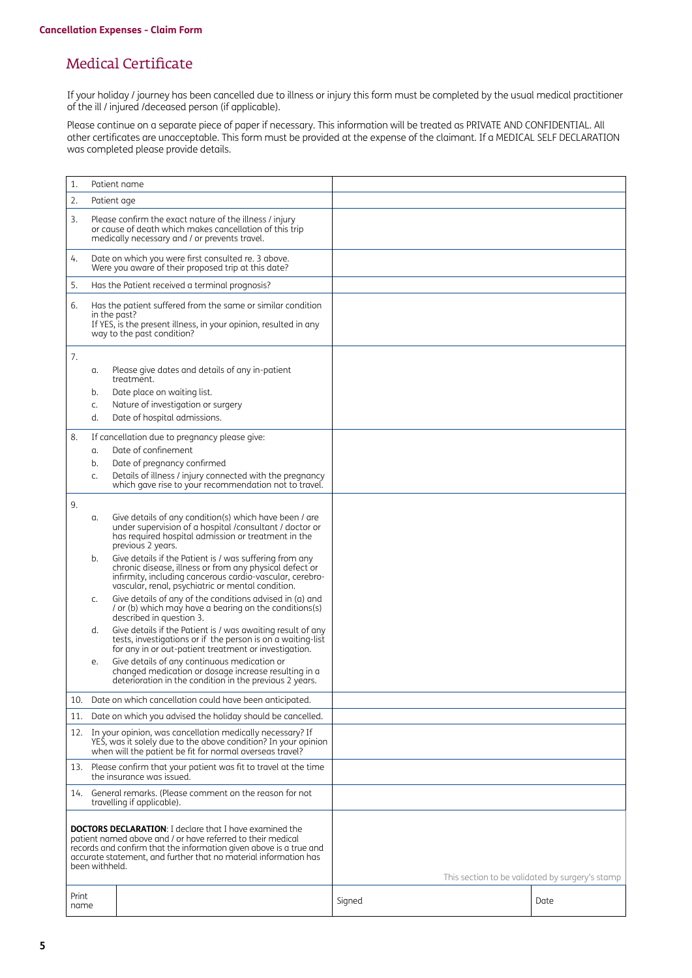### Medical Certificate

If your holiday / journey has been cancelled due to illness or injury this form must be completed by the usual medical practitioner of the ill / injured /deceased person (if applicable).

Please continue on a separate piece of paper if necessary. This information will be treated as PRIVATE AND CONFIDENTIAL. All other certificates are unacceptable. This form must be provided at the expense of the claimant. If a MEDICAL SELF DECLARATION was completed please provide details.

| 1.                                                                                                                                                                                                                                                                                        |                      | Patient name                                                                                                                                                                                                                        |        |                                                 |
|-------------------------------------------------------------------------------------------------------------------------------------------------------------------------------------------------------------------------------------------------------------------------------------------|----------------------|-------------------------------------------------------------------------------------------------------------------------------------------------------------------------------------------------------------------------------------|--------|-------------------------------------------------|
| 2.                                                                                                                                                                                                                                                                                        | Patient age          |                                                                                                                                                                                                                                     |        |                                                 |
| 3.                                                                                                                                                                                                                                                                                        |                      | Please confirm the exact nature of the illness / injury<br>or cause of death which makes cancellation of this trip<br>medically necessary and / or prevents travel.                                                                 |        |                                                 |
| 4.                                                                                                                                                                                                                                                                                        |                      | Date on which you were first consulted re. 3 above.<br>Were you aware of their proposed trip at this date?                                                                                                                          |        |                                                 |
| 5.                                                                                                                                                                                                                                                                                        |                      | Has the Patient received a terminal prognosis?                                                                                                                                                                                      |        |                                                 |
| 6.                                                                                                                                                                                                                                                                                        | in the past?         | Has the patient suffered from the same or similar condition<br>If YES, is the present illness, in your opinion, resulted in any<br>way to the past condition?                                                                       |        |                                                 |
| 7.                                                                                                                                                                                                                                                                                        | α.<br>b.<br>C.<br>d. | Please give dates and details of any in-patient<br>treatment.<br>Date place on waiting list.<br>Nature of investigation or surgery<br>Date of hospital admissions.                                                                  |        |                                                 |
| 8.                                                                                                                                                                                                                                                                                        | α.<br>b.<br>C.       | If cancellation due to pregnancy please give:<br>Date of confinement<br>Date of pregnancy confirmed<br>Details of illness / injury connected with the pregnancy<br>which gave rise to your recommendation not to travel.            |        |                                                 |
| 9.                                                                                                                                                                                                                                                                                        |                      |                                                                                                                                                                                                                                     |        |                                                 |
|                                                                                                                                                                                                                                                                                           | α.                   | Give details of any condition(s) which have been / are<br>under supervision of a hospital /consultant / doctor or<br>has required hospital admission or treatment in the<br>previous 2 years.                                       |        |                                                 |
|                                                                                                                                                                                                                                                                                           | b.                   | Give details if the Patient is / was suffering from any<br>chronic disease, illness or from any physical defect or<br>infirmity, including cancerous cardio-vascular, cerebro-<br>vascular, renal, psychiatric or mental condition. |        |                                                 |
|                                                                                                                                                                                                                                                                                           | C.                   | Give details of any of the conditions advised in (a) and<br>/ or (b) which may have a bearing on the conditions(s)<br>described in question 3.                                                                                      |        |                                                 |
|                                                                                                                                                                                                                                                                                           | d.                   | Give details if the Patient is / was awaiting result of any<br>tests, investigations or if the person is on a waiting-list<br>for any in or out-patient treatment or investigation.                                                 |        |                                                 |
|                                                                                                                                                                                                                                                                                           | е.                   | Give details of any continuous medication or<br>changed medication or dosage increase resulting in a<br>deterioration in the condition in the previous 2 years.                                                                     |        |                                                 |
| 10.                                                                                                                                                                                                                                                                                       |                      | Date on which cancellation could have been anticipated.                                                                                                                                                                             |        |                                                 |
| 11.                                                                                                                                                                                                                                                                                       |                      | Date on which you advised the holiday should be cancelled.                                                                                                                                                                          |        |                                                 |
|                                                                                                                                                                                                                                                                                           |                      | 12. In your opinion, was cancellation medically necessary? If<br>YES, was it solely due to the above condition? In your opinion<br>when will the patient be fit for normal overseas travel?                                         |        |                                                 |
| Please confirm that your patient was fit to travel at the time<br>13.<br>the insurance was issued.                                                                                                                                                                                        |                      |                                                                                                                                                                                                                                     |        |                                                 |
| 14.                                                                                                                                                                                                                                                                                       |                      | General remarks. (Please comment on the reason for not<br>travelling if applicable).                                                                                                                                                |        |                                                 |
| <b>DOCTORS DECLARATION:</b> I declare that I have examined the<br>patient named above and / or have referred to their medical<br>records and confirm that the information given above is a true and<br>accurate statement, and further that no material information has<br>been withheld. |                      |                                                                                                                                                                                                                                     |        | This section to be validated by surgery's stamp |
|                                                                                                                                                                                                                                                                                           |                      |                                                                                                                                                                                                                                     |        |                                                 |
| Print<br>name                                                                                                                                                                                                                                                                             |                      |                                                                                                                                                                                                                                     | Signed | Date                                            |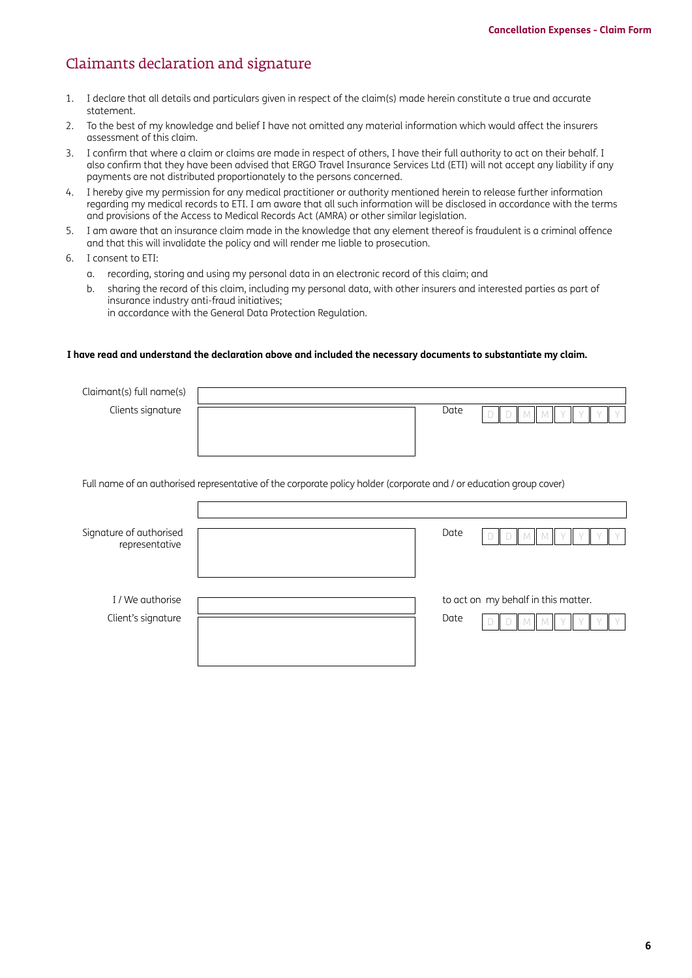### Claimants declaration and signature

- 1. I declare that all details and particulars given in respect of the claim(s) made herein constitute a true and accurate statement.
- 2. To the best of my knowledge and belief I have not omitted any material information which would affect the insurers assessment of this claim.
- 3. I confirm that where a claim or claims are made in respect of others, I have their full authority to act on their behalf. I also confirm that they have been advised that ERGO Travel Insurance Services Ltd (ETI) will not accept any liability if any payments are not distributed proportionately to the persons concerned.
- 4. I hereby give my permission for any medical practitioner or authority mentioned herein to release further information regarding my medical records to ETI. I am aware that all such information will be disclosed in accordance with the terms and provisions of the Access to Medical Records Act (AMRA) or other similar legislation.
- 5. I am aware that an insurance claim made in the knowledge that any element thereof is fraudulent is a criminal offence and that this will invalidate the policy and will render me liable to prosecution.
- 6. I consent to ETI:
	- a. recording, storing and using my personal data in an electronic record of this claim; and
	- b. sharing the record of this claim, including my personal data, with other insurers and interested parties as part of insurance industry anti-fraud initiatives; in accordance with the General Data Protection Regulation.

#### **I have read and understand the declaration above and included the necessary documents to substantiate my claim.**

| Claimant(s) full name(s)                  |                                                                                                                     |      |                                     |
|-------------------------------------------|---------------------------------------------------------------------------------------------------------------------|------|-------------------------------------|
| Clients signature                         |                                                                                                                     | Date |                                     |
|                                           |                                                                                                                     |      |                                     |
|                                           |                                                                                                                     |      |                                     |
|                                           |                                                                                                                     |      |                                     |
|                                           | Full name of an authorised representative of the corporate policy holder (corporate and / or education group cover) |      |                                     |
|                                           |                                                                                                                     |      |                                     |
| Signature of authorised<br>representative |                                                                                                                     | Date |                                     |
|                                           |                                                                                                                     |      |                                     |
|                                           |                                                                                                                     |      |                                     |
| I / We authorise                          |                                                                                                                     |      | to act on my behalf in this matter. |
| Client's signature                        |                                                                                                                     | Date |                                     |
|                                           |                                                                                                                     |      |                                     |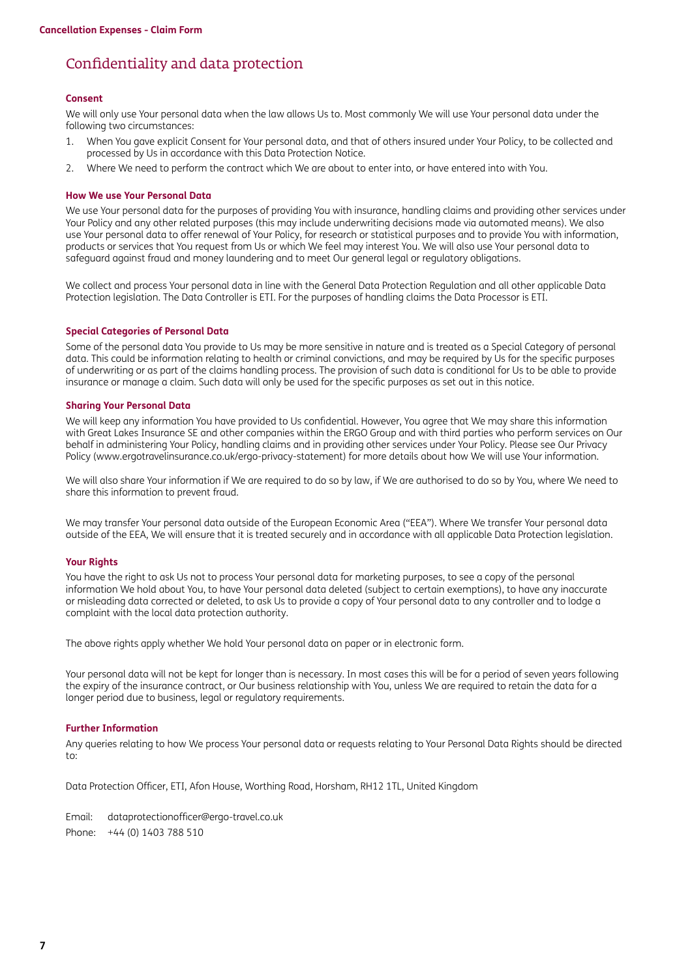### Confidentiality and data protection

#### **Consent**

We will only use Your personal data when the law allows Us to. Most commonly We will use Your personal data under the following two circumstances:

- 1. When You gave explicit Consent for Your personal data, and that of others insured under Your Policy, to be collected and processed by Us in accordance with this Data Protection Notice.
- 2. Where We need to perform the contract which We are about to enter into, or have entered into with You.

#### **How We use Your Personal Data**

We use Your personal data for the purposes of providing You with insurance, handling claims and providing other services under Your Policy and any other related purposes (this may include underwriting decisions made via automated means). We also use Your personal data to offer renewal of Your Policy, for research or statistical purposes and to provide You with information, products or services that You request from Us or which We feel may interest You. We will also use Your personal data to safeguard against fraud and money laundering and to meet Our general legal or regulatory obligations.

We collect and process Your personal data in line with the General Data Protection Regulation and all other applicable Data Protection legislation. The Data Controller is ETI. For the purposes of handling claims the Data Processor is ETI.

#### **Special Categories of Personal Data**

Some of the personal data You provide to Us may be more sensitive in nature and is treated as a Special Category of personal data. This could be information relating to health or criminal convictions, and may be required by Us for the specific purposes of underwriting or as part of the claims handling process. The provision of such data is conditional for Us to be able to provide insurance or manage a claim. Such data will only be used for the specific purposes as set out in this notice.

#### **Sharing Your Personal Data**

We will keep any information You have provided to Us confidential. However, You agree that We may share this information with Great Lakes Insurance SE and other companies within the ERGO Group and with third parties who perform services on Our behalf in administering Your Policy, handling claims and in providing other services under Your Policy. Please see Our Privacy Policy [\(www.ergotravelinsurance.co.uk/ergo-privacy-statement](http://www.ergotravelinsurance.co.uk/ergo-privacy-statement)) for more details about how We will use Your information.

We will also share Your information if We are required to do so by law, if We are authorised to do so by You, where We need to share this information to prevent fraud.

We may transfer Your personal data outside of the European Economic Area ("EEA"). Where We transfer Your personal data outside of the EEA, We will ensure that it is treated securely and in accordance with all applicable Data Protection legislation.

#### **Your Rights**

You have the right to ask Us not to process Your personal data for marketing purposes, to see a copy of the personal information We hold about You, to have Your personal data deleted (subject to certain exemptions), to have any inaccurate or misleading data corrected or deleted, to ask Us to provide a copy of Your personal data to any controller and to lodge a complaint with the local data protection authority.

The above rights apply whether We hold Your personal data on paper or in electronic form.

Your personal data will not be kept for longer than is necessary. In most cases this will be for a period of seven years following the expiry of the insurance contract, or Our business relationship with You, unless We are required to retain the data for a longer period due to business, legal or regulatory requirements.

#### **Further Information**

Any queries relating to how We process Your personal data or requests relating to Your Personal Data Rights should be directed to:

Data Protection Officer, ETI, Afon House, Worthing Road, Horsham, RH12 1TL, United Kingdom

Email: [dataprotectionofficer@ergo-travel.co.uk](mailto:dataprotectionofficer%40ergo-travel.co.uk?subject=) Phone: +44 (0) 1403 788 510